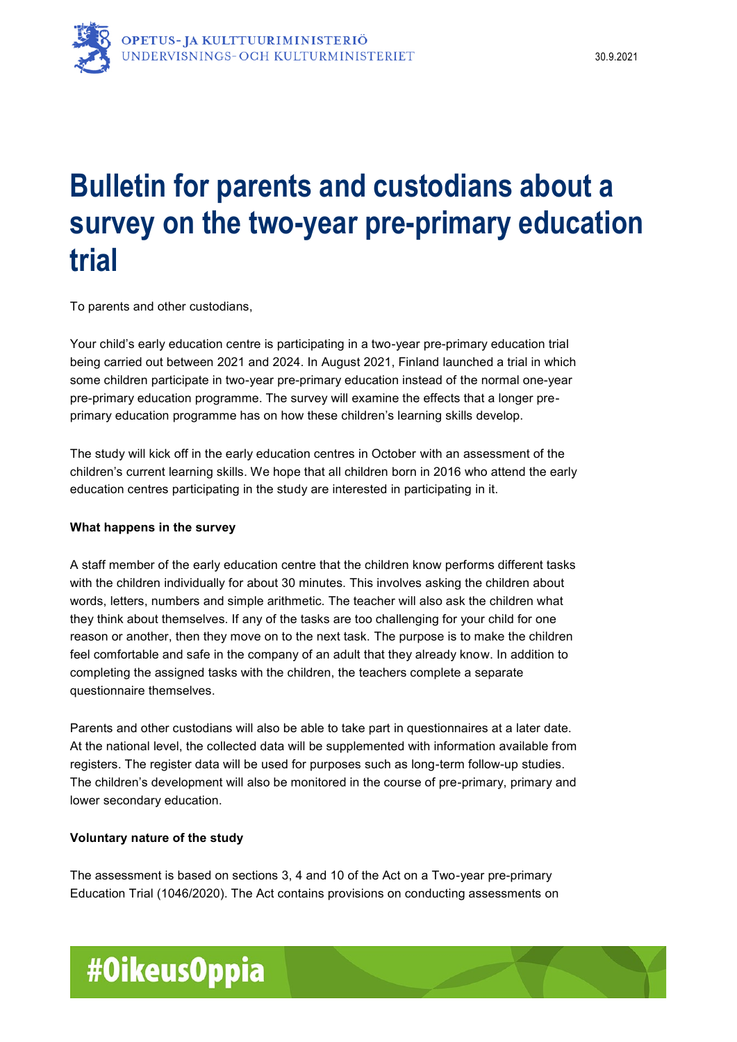# **Bulletin for parents and custodians about a survey on the two-year pre-primary education trial**

To parents and other custodians,

Your child's early education centre is participating in a two-year pre-primary education trial being carried out between 2021 and 2024. In August 2021, Finland launched a trial in which some children participate in two-year pre-primary education instead of the normal one-year pre-primary education programme. The survey will examine the effects that a longer preprimary education programme has on how these children's learning skills develop.

The study will kick off in the early education centres in October with an assessment of the children's current learning skills. We hope that all children born in 2016 who attend the early education centres participating in the study are interested in participating in it.

### **What happens in the survey**

A staff member of the early education centre that the children know performs different tasks with the children individually for about 30 minutes. This involves asking the children about words, letters, numbers and simple arithmetic. The teacher will also ask the children what they think about themselves. If any of the tasks are too challenging for your child for one reason or another, then they move on to the next task. The purpose is to make the children feel comfortable and safe in the company of an adult that they already know. In addition to completing the assigned tasks with the children, the teachers complete a separate questionnaire themselves.

Parents and other custodians will also be able to take part in questionnaires at a later date. At the national level, the collected data will be supplemented with information available from registers. The register data will be used for purposes such as long-term follow-up studies. The children's development will also be monitored in the course of pre-primary, primary and lower secondary education.

### **Voluntary nature of the study**

The assessment is based on sections 3, 4 and 10 of the Act on a Two-year pre-primary Education Trial (1046/2020). The Act contains provisions on conducting assessments on

# #OikeusOppia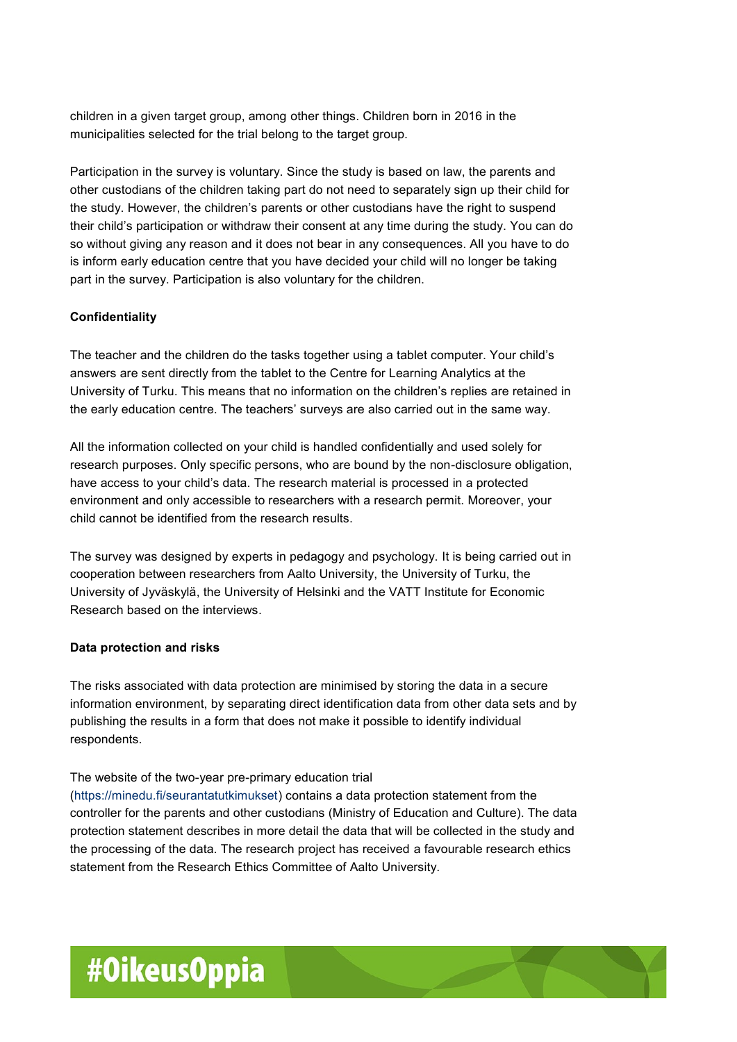children in a given target group, among other things. Children born in 2016 in the municipalities selected for the trial belong to the target group.

Participation in the survey is voluntary. Since the study is based on law, the parents and other custodians of the children taking part do not need to separately sign up their child for the study. However, the children's parents or other custodians have the right to suspend their child's participation or withdraw their consent at any time during the study. You can do so without giving any reason and it does not bear in any consequences. All you have to do is inform early education centre that you have decided your child will no longer be taking part in the survey. Participation is also voluntary for the children.

## **Confidentiality**

The teacher and the children do the tasks together using a tablet computer. Your child's answers are sent directly from the tablet to the Centre for Learning Analytics at the University of Turku. This means that no information on the children's replies are retained in the early education centre. The teachers' surveys are also carried out in the same way.

All the information collected on your child is handled confidentially and used solely for research purposes. Only specific persons, who are bound by the non-disclosure obligation, have access to your child's data. The research material is processed in a protected environment and only accessible to researchers with a research permit. Moreover, your child cannot be identified from the research results.

The survey was designed by experts in pedagogy and psychology. It is being carried out in cooperation between researchers from Aalto University, the University of Turku, the University of Jyväskylä, the University of Helsinki and the VATT Institute for Economic Research based on the interviews.

### **Data protection and risks**

The risks associated with data protection are minimised by storing the data in a secure information environment, by separating direct identification data from other data sets and by publishing the results in a form that does not make it possible to identify individual respondents.

### The website of the two-year pre-primary education trial

[\(https://minedu.fi/seurantatutkimukset\)](https://minedu.fi/seurantatutkimukset) contains a data protection statement from the controller for the parents and other custodians (Ministry of Education and Culture). The data protection statement describes in more detail the data that will be collected in the study and the processing of the data. The research project has received a favourable research ethics statement from the Research Ethics Committee of Aalto University.

# #OikeusOppia